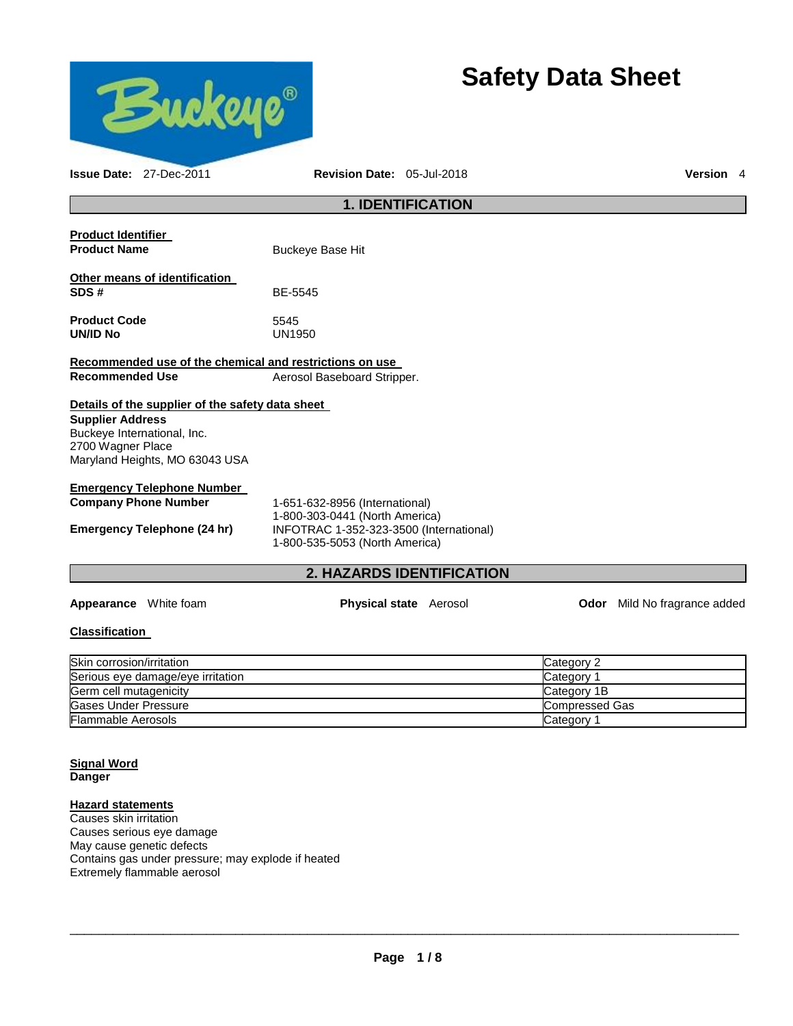

# **Safety Data Sheet**

**Issue Date:** 27-Dec-2011 **Revision Date:** 05-Jul-2018 **Version** 4

# **1. IDENTIFICATION**

| Product Identifier<br><b>Product Name</b>                                                                                                                         | Buckeye Base Hit            |
|-------------------------------------------------------------------------------------------------------------------------------------------------------------------|-----------------------------|
| Other means of identification<br>SDS#                                                                                                                             | BF-5545                     |
| <b>Product Code</b><br>UN/ID No                                                                                                                                   | 5545<br>UN1950              |
| Recommended use of the chemical and restrictions on use                                                                                                           |                             |
| Recommended Use                                                                                                                                                   | Aerosol Baseboard Stripper. |
| Details of the supplier of the safety data sheet<br><b>Supplier Address</b><br>Buckeye International, Inc.<br>2700 Wagner Place<br>Maryland Heights, MO 63043 USA |                             |
| Emergency Telephone Number                                                                                                                                        |                             |

**Company Phone Number** 1-651-632-8956 (International)

1-800-303-0441 (North America) **Emergency Telephone (24 hr)** INFOTRAC 1-352-323-3500 (International) 1-800-535-5053 (North America)

# **2. HAZARDS IDENTIFICATION**

**Appearance** White foam **Physical state** Aerosol **Odor** Mild No fragrance added

#### **Classification**

| Skin corrosion/irritation         | Category 2     |
|-----------------------------------|----------------|
| Serious eye damage/eye irritation | Category       |
| Germ cell mutagenicity            | Category 1B    |
| Gases Under Pressure              | Compressed Gas |
| <b>Flammable Aerosols</b>         | Category       |

#### **Signal Word Danger**

### **Hazard statements**

Causes skin irritation Causes serious eye damage May cause genetic defects Contains gas under pressure; may explode if heated Extremely flammable aerosol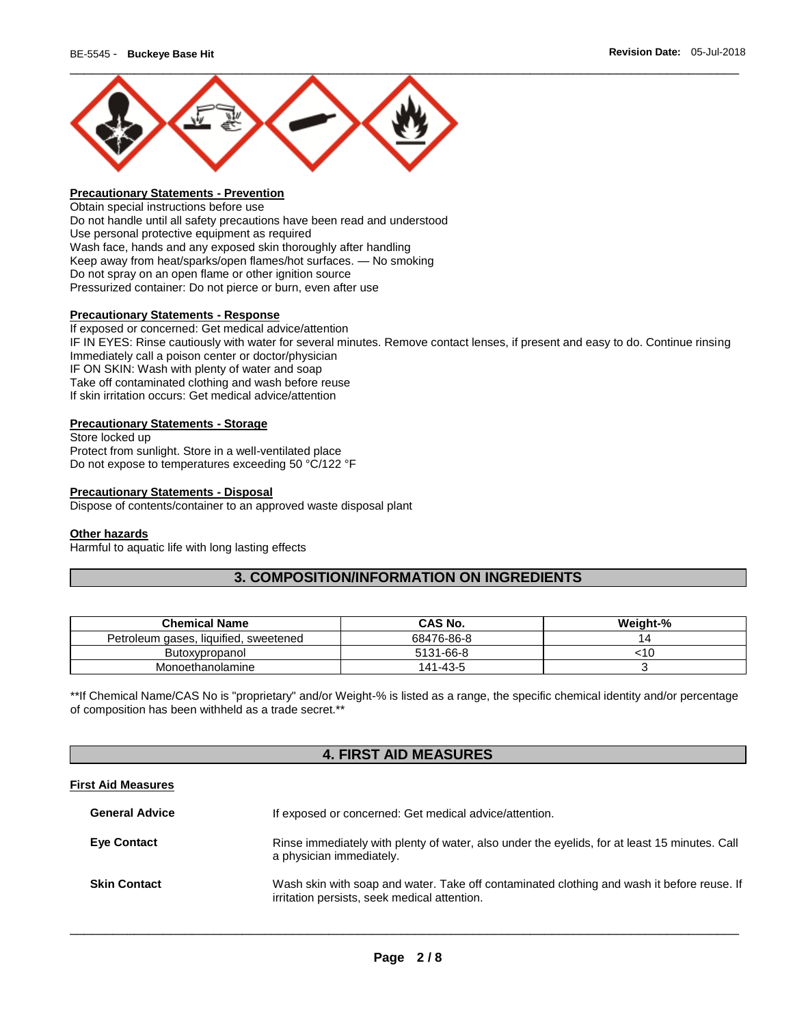

#### **Precautionary Statements - Prevention**

Obtain special instructions before use Do not handle until all safety precautions have been read and understood Use personal protective equipment as required Wash face, hands and any exposed skin thoroughly after handling Keep away from heat/sparks/open flames/hot surfaces. — No smoking Do not spray on an open flame or other ignition source Pressurized container: Do not pierce or burn, even after use

#### **Precautionary Statements - Response**

If exposed or concerned: Get medical advice/attention IF IN EYES: Rinse cautiously with water for several minutes. Remove contact lenses, if present and easy to do. Continue rinsing Immediately call a poison center or doctor/physician IF ON SKIN: Wash with plenty of water and soap Take off contaminated clothing and wash before reuse If skin irritation occurs: Get medical advice/attention

#### **Precautionary Statements - Storage**

Store locked up Protect from sunlight. Store in a well-ventilated place Do not expose to temperatures exceeding 50 °C/122 °F

#### **Precautionary Statements - Disposal**

Dispose of contents/container to an approved waste disposal plant

#### **Other hazards**

Harmful to aquatic life with long lasting effects

# **3. COMPOSITION/INFORMATION ON INGREDIENTS**

| <b>Chemical Name</b>                  | <b>CAS No.</b> | Weight-% |
|---------------------------------------|----------------|----------|
| Petroleum gases, liquified, sweetened | 68476-86-8     |          |
| Butoxypropanol                        | 5131-66-8      | :10      |
| Monoethanolamine                      | 141-43-5       |          |

\*\*If Chemical Name/CAS No is "proprietary" and/or Weight-% is listed as a range, the specific chemical identity and/or percentage of composition has been withheld as a trade secret.\*\*

# **4. FIRST AID MEASURES**

#### **First Aid Measures**

| <b>General Advice</b> | If exposed or concerned: Get medical advice/attention.                                                                                     |
|-----------------------|--------------------------------------------------------------------------------------------------------------------------------------------|
| <b>Eye Contact</b>    | Rinse immediately with plenty of water, also under the eyelids, for at least 15 minutes. Call<br>a physician immediately.                  |
| <b>Skin Contact</b>   | Wash skin with soap and water. Take off contaminated clothing and wash it before reuse. If<br>irritation persists, seek medical attention. |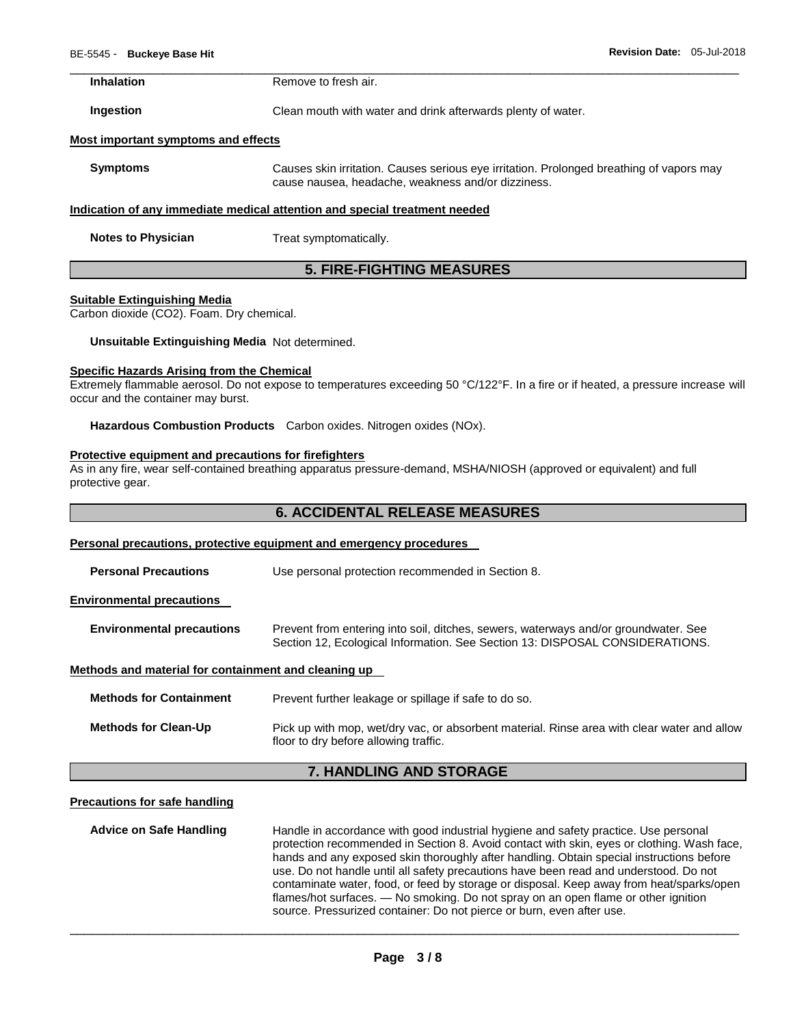| <b>Inhalation</b>                   | Remove to fresh air.                                                                                                                           |
|-------------------------------------|------------------------------------------------------------------------------------------------------------------------------------------------|
| Ingestion                           | Clean mouth with water and drink afterwards plenty of water.                                                                                   |
| Most important symptoms and effects |                                                                                                                                                |
| <b>Symptoms</b>                     | Causes skin irritation. Causes serious eye irritation. Prolonged breathing of vapors may<br>cause nausea, headache, weakness and/or dizziness. |

#### **Indication of any immediate medical attention and special treatment needed**

| <b>Notes to Physician</b> | Treat symptomatically. |
|---------------------------|------------------------|
|---------------------------|------------------------|

# **5. FIRE-FIGHTING MEASURES**

#### **Suitable Extinguishing Media**

Carbon dioxide (CO2). Foam. Dry chemical.

#### **Unsuitable Extinguishing Media** Not determined.

#### **Specific Hazards Arising from the Chemical**

Extremely flammable aerosol. Do not expose to temperatures exceeding 50 °C/122°F. In a fire or if heated, a pressure increase will occur and the container may burst.

**Hazardous Combustion Products** Carbon oxides. Nitrogen oxides (NOx).

#### **Protective equipment and precautions for firefighters**

As in any fire, wear self-contained breathing apparatus pressure-demand, MSHA/NIOSH (approved or equivalent) and full protective gear.

#### **6. ACCIDENTAL RELEASE MEASURES**

#### **Personal precautions, protective equipment and emergency procedures**

| <b>Personal Precautions</b>                          | Use personal protection recommended in Section 8.                                                                                                                   |
|------------------------------------------------------|---------------------------------------------------------------------------------------------------------------------------------------------------------------------|
| <b>Environmental precautions</b>                     |                                                                                                                                                                     |
| <b>Environmental precautions</b>                     | Prevent from entering into soil, ditches, sewers, waterways and/or groundwater. See<br>Section 12, Ecological Information. See Section 13: DISPOSAL CONSIDERATIONS. |
| Methods and material for containment and cleaning up |                                                                                                                                                                     |
| <b>Methods for Containment</b>                       | Prevent further leakage or spillage if safe to do so.                                                                                                               |
| <b>Methods for Clean-Up</b>                          | Pick up with mop, wet/dry vac, or absorbent material. Rinse area with clear water and allow<br>floor to dry before allowing traffic.                                |

# **7. HANDLING AND STORAGE**

#### **Precautions for safe handling**

**Advice on Safe Handling** Handle in accordance with good industrial hygiene and safety practice. Use personal protection recommended in Section 8. Avoid contact with skin, eyes or clothing. Wash face, hands and any exposed skin thoroughly after handling. Obtain special instructions before use. Do not handle until all safety precautions have been read and understood. Do not contaminate water, food, or feed by storage or disposal. Keep away from heat/sparks/open flames/hot surfaces. — No smoking. Do not spray on an open flame or other ignition source. Pressurized container: Do not pierce or burn, even after use.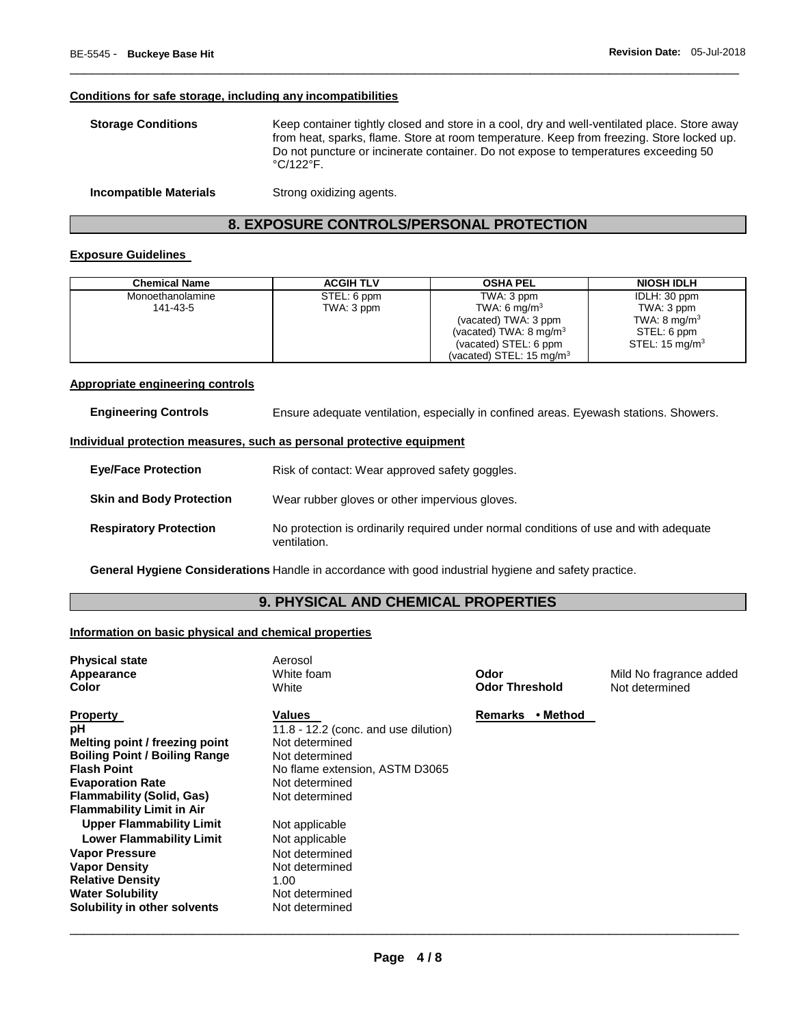#### **Conditions for safe storage, including any incompatibilities**

| <b>Storage Conditions</b> | Keep container tightly closed and store in a cool, dry and well-ventilated place. Store away<br>from heat, sparks, flame. Store at room temperature. Keep from freezing. Store locked up.<br>Do not puncture or incinerate container. Do not expose to temperatures exceeding 50<br>$\degree$ C/122 $\degree$ F. |
|---------------------------|------------------------------------------------------------------------------------------------------------------------------------------------------------------------------------------------------------------------------------------------------------------------------------------------------------------|
|                           |                                                                                                                                                                                                                                                                                                                  |

\_\_\_\_\_\_\_\_\_\_\_\_\_\_\_\_\_\_\_\_\_\_\_\_\_\_\_\_\_\_\_\_\_\_\_\_\_\_\_\_\_\_\_\_\_\_\_\_\_\_\_\_\_\_\_\_\_\_\_\_\_\_\_\_\_\_\_\_\_\_\_\_\_\_\_\_\_\_\_\_\_\_\_\_\_\_\_\_\_\_\_\_\_

#### **Incompatible Materials Strong oxidizing agents.**

# **8. EXPOSURE CONTROLS/PERSONAL PROTECTION**

#### **Exposure Guidelines**

| <b>Chemical Name</b> | <b>ACGIH TLV</b> | <b>OSHA PEL</b>                     | <b>NIOSH IDLH</b>         |
|----------------------|------------------|-------------------------------------|---------------------------|
| Monoethanolamine     | STEL: 6 ppm      | TWA: 3 ppm                          | IDLH: 30 ppm              |
| 141-43-5             | TWA: 3 ppm       | TWA: 6 mg/m <sup>3</sup>            | TWA: 3 ppm                |
|                      |                  | (vacated) TWA: 3 ppm                | TWA: $8 \text{ mg/m}^3$   |
|                      |                  | (vacated) TWA: $8 \text{ mg/m}^3$   | STEL: 6 ppm               |
|                      |                  | (vacated) STEL: 6 ppm               | STEL: $15 \text{ mg/m}^3$ |
|                      |                  | (vacated) STEL: $15 \text{ mg/m}^3$ |                           |

#### **Appropriate engineering controls**

#### **Engineering Controls** Ensure adequate ventilation, especially in confined areas. Eyewash stations. Showers.

#### **Individual protection measures, such as personal protective equipment**

| <b>Eye/Face Protection</b>      | Risk of contact: Wear approved safety goggles.                                                        |
|---------------------------------|-------------------------------------------------------------------------------------------------------|
| <b>Skin and Body Protection</b> | Wear rubber gloves or other impervious gloves.                                                        |
| <b>Respiratory Protection</b>   | No protection is ordinarily required under normal conditions of use and with adequate<br>ventilation. |

**General Hygiene Considerations** Handle in accordance with good industrial hygiene and safety practice.

# **9. PHYSICAL AND CHEMICAL PROPERTIES**

#### **Information on basic physical and chemical properties**

| <b>Physical state</b><br>Appearance<br>Color | Aerosol<br>White foam<br>White       | Odor<br><b>Odor Threshold</b> | Mild No fragrance added<br>Not determined |
|----------------------------------------------|--------------------------------------|-------------------------------|-------------------------------------------|
| <b>Property</b>                              | Values                               | • Method<br>Remarks           |                                           |
| рH                                           | 11.8 - 12.2 (conc. and use dilution) |                               |                                           |
| Melting point / freezing point               | Not determined                       |                               |                                           |
| <b>Boiling Point / Boiling Range</b>         | Not determined                       |                               |                                           |
| <b>Flash Point</b>                           | No flame extension, ASTM D3065       |                               |                                           |
| <b>Evaporation Rate</b>                      | Not determined                       |                               |                                           |
| <b>Flammability (Solid, Gas)</b>             | Not determined                       |                               |                                           |
| <b>Flammability Limit in Air</b>             |                                      |                               |                                           |
| <b>Upper Flammability Limit</b>              | Not applicable                       |                               |                                           |
| <b>Lower Flammability Limit</b>              | Not applicable                       |                               |                                           |
| <b>Vapor Pressure</b>                        | Not determined                       |                               |                                           |
| <b>Vapor Density</b>                         | Not determined                       |                               |                                           |
| <b>Relative Density</b>                      | 1.00                                 |                               |                                           |
| <b>Water Solubility</b>                      | Not determined                       |                               |                                           |
| Solubility in other solvents                 | Not determined                       |                               |                                           |
|                                              |                                      |                               |                                           |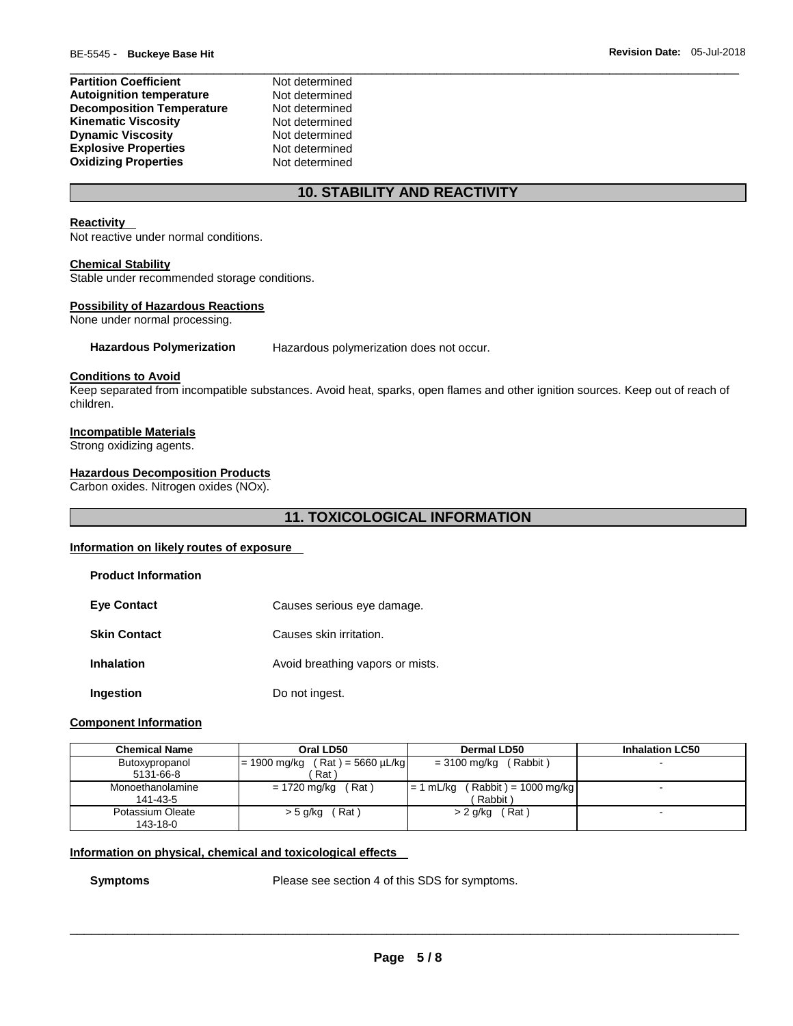| <b>Partition Coefficient</b>     | Not determined |
|----------------------------------|----------------|
| <b>Autoignition temperature</b>  | Not determined |
| <b>Decomposition Temperature</b> | Not determined |
| <b>Kinematic Viscosity</b>       | Not determined |
| <b>Dynamic Viscosity</b>         | Not determined |
| <b>Explosive Properties</b>      | Not determined |
| <b>Oxidizing Properties</b>      | Not determined |

# **10. STABILITY AND REACTIVITY**

#### **Reactivity**

Not reactive under normal conditions.

#### **Chemical Stability**

Stable under recommended storage conditions.

### **Possibility of Hazardous Reactions**

None under normal processing.

**Hazardous Polymerization** Hazardous polymerization does not occur.

#### **Conditions to Avoid**

Keep separated from incompatible substances. Avoid heat, sparks, open flames and other ignition sources. Keep out of reach of children.

#### **Incompatible Materials**

Strong oxidizing agents.

### **Hazardous Decomposition Products**

Carbon oxides. Nitrogen oxides (NOx).

# **11. TOXICOLOGICAL INFORMATION**

#### **Information on likely routes of exposure**

| <b>Product Information</b> |                                  |
|----------------------------|----------------------------------|
| <b>Eve Contact</b>         | Causes serious eye damage.       |
| <b>Skin Contact</b>        | Causes skin irritation.          |
| Inhalation                 | Avoid breathing vapors or mists. |
| Ingestion                  | Do not ingest.                   |

#### **Component Information**

| <b>Chemical Name</b>         | Oral LD50                         | <b>Dermal LD50</b>                    | <b>Inhalation LC50</b>   |
|------------------------------|-----------------------------------|---------------------------------------|--------------------------|
| Butoxypropanol               | $= 1900$ mg/kg (Rat) = 5660 µL/kg | (Rabbit)<br>= 3100 mg/kg              |                          |
| 5131-66-8                    | Rat `                             |                                       |                          |
| Monoethanolamine             | ˈRat \<br>= 1720 mg/kg            | Rabbit $) = 1000$ mg/kg<br>l= 1 mL/kg |                          |
| 141-43-5                     |                                   | Rabbit)                               |                          |
| Potassium Oleate<br>143-18-0 | Rat)<br>> 5 g/kg                  | (Rat)<br>$> 2$ g/kg                   | $\overline{\phantom{a}}$ |

#### **Information on physical, chemical and toxicological effects**

**Symptoms** Please see section 4 of this SDS for symptoms.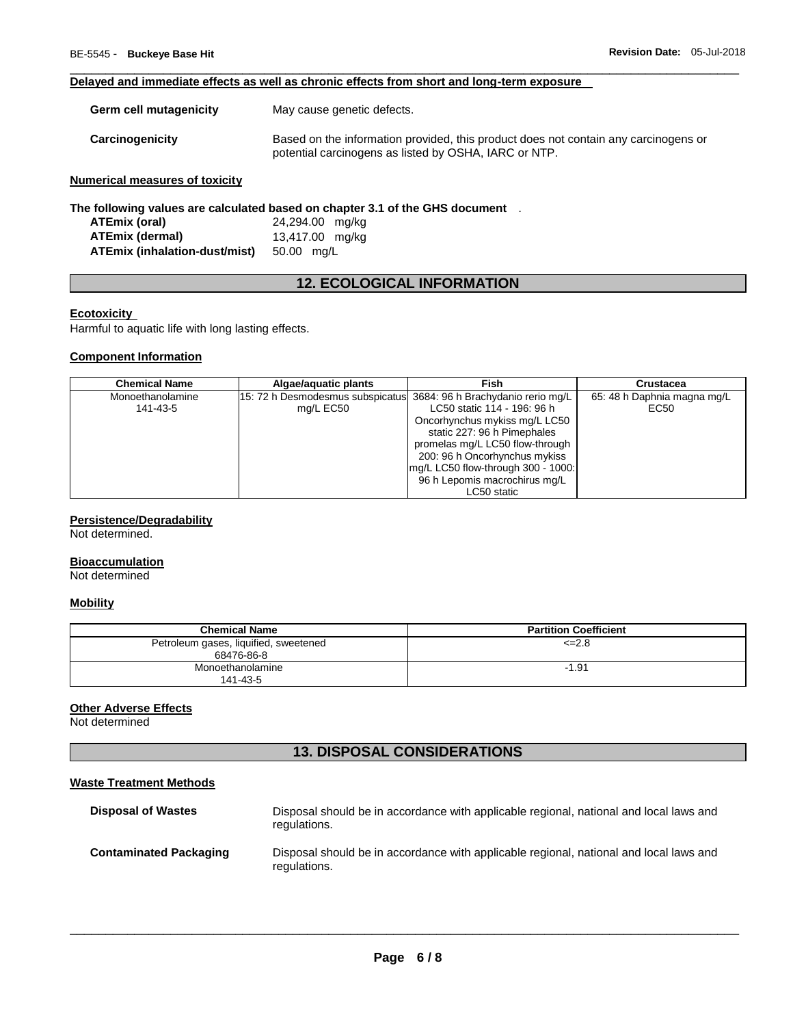#### **Delayed and immediate effects as well as chronic effects from short and long-term exposure**

| <b>Germ cell mutagenicity</b>         | May cause genetic defects.                                                                                                                   |
|---------------------------------------|----------------------------------------------------------------------------------------------------------------------------------------------|
| Carcinogenicity                       | Based on the information provided, this product does not contain any carcinogens or<br>potential carcinogens as listed by OSHA, IARC or NTP. |
| <b>Numerical measures of toxicity</b> |                                                                                                                                              |

\_\_\_\_\_\_\_\_\_\_\_\_\_\_\_\_\_\_\_\_\_\_\_\_\_\_\_\_\_\_\_\_\_\_\_\_\_\_\_\_\_\_\_\_\_\_\_\_\_\_\_\_\_\_\_\_\_\_\_\_\_\_\_\_\_\_\_\_\_\_\_\_\_\_\_\_\_\_\_\_\_\_\_\_\_\_\_\_\_\_\_\_\_

**The following values are calculated based on chapter 3.1 of the GHS document** . **ATEmix (oral)** 24,294.00 mg/kg **ATEmix (dermal)** 13,417.00 mg/kg

**ATEmix (inhalation-dust/mist)** 50.00 mg/L

# **12. ECOLOGICAL INFORMATION**

#### **Ecotoxicity**

Harmful to aquatic life with long lasting effects.

#### **Component Information**

| <b>Chemical Name</b> | Algae/aquatic plants                                               | Fish                               | Crustacea                   |  |
|----------------------|--------------------------------------------------------------------|------------------------------------|-----------------------------|--|
| Monoethanolamine     | 15: 72 h Desmodesmus subspicatus 3684: 96 h Brachydanio rerio mg/L |                                    | 65: 48 h Daphnia magna mg/L |  |
| 141-43-5             | mg/L EC50                                                          | LC50 static 114 - 196: 96 h        | EC50                        |  |
|                      |                                                                    | Oncorhynchus mykiss mg/L LC50      |                             |  |
|                      |                                                                    | static 227: 96 h Pimephales        |                             |  |
|                      |                                                                    | promelas mg/L LC50 flow-through    |                             |  |
|                      |                                                                    | 200: 96 h Oncorhynchus mykiss      |                             |  |
|                      |                                                                    | mg/L LC50 flow-through 300 - 1000: |                             |  |
|                      |                                                                    | 96 h Lepomis macrochirus mg/L      |                             |  |
|                      |                                                                    | LC50 static                        |                             |  |

#### **Persistence/Degradability**

Not determined.

### **Bioaccumulation**

Not determined

#### **Mobility**

| <b>Chemical Name</b>                                | <b>Partition Coefficient</b> |
|-----------------------------------------------------|------------------------------|
| Petroleum gases, liquified, sweetened<br>68476-86-8 | $\leq$ 2.8                   |
| Monoethanolamine<br>141-43-5                        | $-1.91$                      |

#### **Other Adverse Effects**

Not determined

# **13. DISPOSAL CONSIDERATIONS**

#### **Waste Treatment Methods**

| <b>Disposal of Wastes</b>     | Disposal should be in accordance with applicable regional, national and local laws and<br>regulations. |
|-------------------------------|--------------------------------------------------------------------------------------------------------|
| <b>Contaminated Packaging</b> | Disposal should be in accordance with applicable regional, national and local laws and<br>regulations. |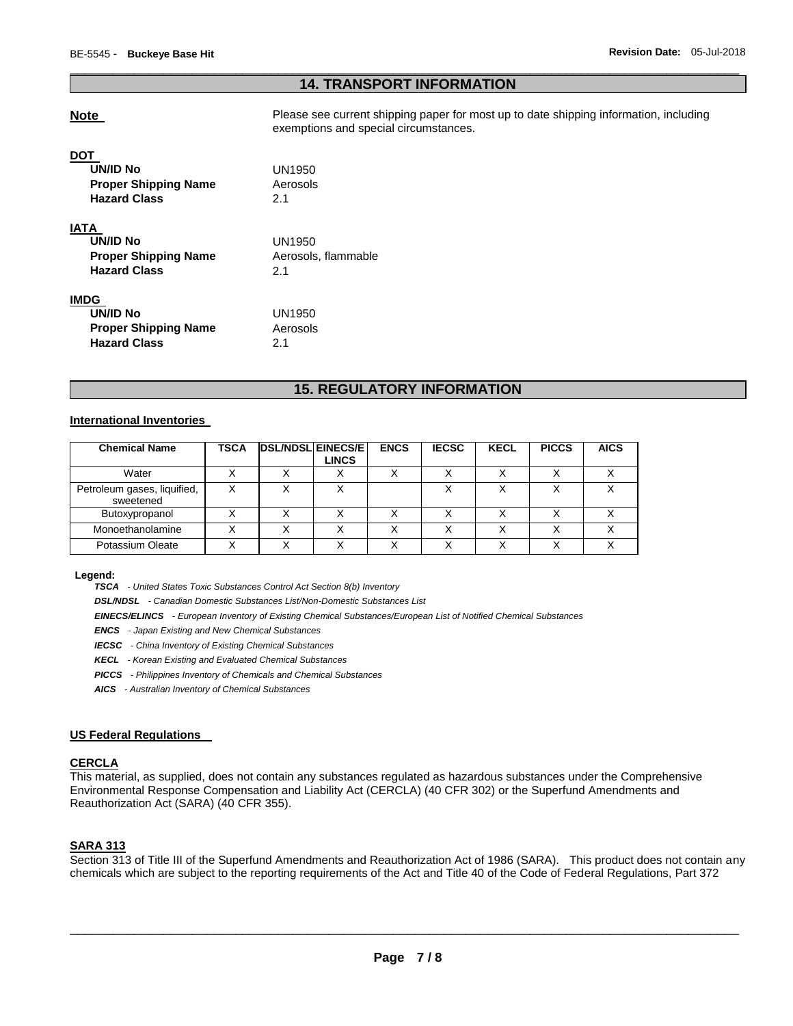### \_\_\_\_\_\_\_\_\_\_\_\_\_\_\_\_\_\_\_\_\_\_\_\_\_\_\_\_\_\_\_\_\_\_\_\_\_\_\_\_\_\_\_\_\_\_\_\_\_\_\_\_\_\_\_\_\_\_\_\_\_\_\_\_\_\_\_\_\_\_\_\_\_\_\_\_\_\_\_\_\_\_\_\_\_\_\_\_\_\_\_\_\_ **14. TRANSPORT INFORMATION**

**Note Please see current shipping paper for most up to date shipping information, including** exemptions and special circumstances.

#### **DOT**

| וטט<br><b>UN/ID No</b><br><b>Proper Shipping Name</b><br><b>Hazard Class</b> | UN1950<br>Aerosols  |
|------------------------------------------------------------------------------|---------------------|
|                                                                              | 2.1                 |
| IATA                                                                         |                     |
| UN/ID No                                                                     | UN1950              |
| <b>Proper Shipping Name</b>                                                  | Aerosols, flammable |
| <b>Hazard Class</b>                                                          | 2.1                 |
| <b>IMDG</b>                                                                  |                     |
| <b>UN/ID No</b>                                                              | UN1950              |
| <b>Proper Shipping Name</b>                                                  | Aerosols            |
| <b>Hazard Class</b>                                                          | 2.1                 |

# **15. REGULATORY INFORMATION**

#### **International Inventories**

| <b>Chemical Name</b>                     | TSCA | <b>DSL/NDSL EINECS/E</b> | <b>LINCS</b> | <b>ENCS</b> | <b>IECSC</b> | <b>KECL</b> | <b>PICCS</b> | <b>AICS</b> |
|------------------------------------------|------|--------------------------|--------------|-------------|--------------|-------------|--------------|-------------|
| Water                                    |      |                          |              |             |              |             | $\checkmark$ |             |
| Petroleum gases, liquified,<br>sweetened |      |                          |              |             |              |             | v            |             |
| Butoxypropanol                           |      |                          |              |             |              |             | v            |             |
| Monoethanolamine                         |      |                          |              |             |              |             | v            |             |
| Potassium Oleate                         |      |                          |              |             |              |             | v            |             |

#### **Legend:**

*TSCA - United States Toxic Substances Control Act Section 8(b) Inventory* 

*DSL/NDSL - Canadian Domestic Substances List/Non-Domestic Substances List* 

*EINECS/ELINCS - European Inventory of Existing Chemical Substances/European List of Notified Chemical Substances* 

*ENCS - Japan Existing and New Chemical Substances* 

*IECSC - China Inventory of Existing Chemical Substances* 

*KECL - Korean Existing and Evaluated Chemical Substances* 

*PICCS - Philippines Inventory of Chemicals and Chemical Substances* 

*AICS - Australian Inventory of Chemical Substances* 

#### **US Federal Regulations**

#### **CERCLA**

This material, as supplied, does not contain any substances regulated as hazardous substances under the Comprehensive Environmental Response Compensation and Liability Act (CERCLA) (40 CFR 302) or the Superfund Amendments and Reauthorization Act (SARA) (40 CFR 355).

#### **SARA 313**

Section 313 of Title III of the Superfund Amendments and Reauthorization Act of 1986 (SARA). This product does not contain any chemicals which are subject to the reporting requirements of the Act and Title 40 of the Code of Federal Regulations, Part 372